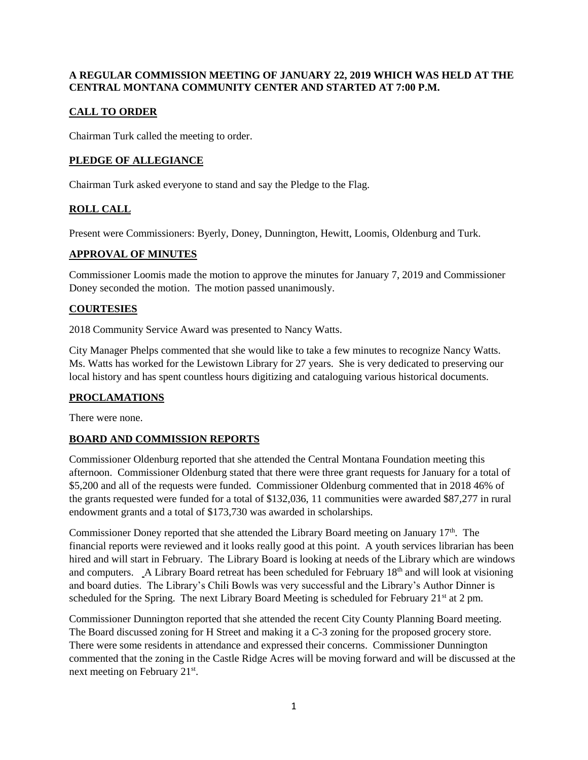#### **A REGULAR COMMISSION MEETING OF JANUARY 22, 2019 WHICH WAS HELD AT THE CENTRAL MONTANA COMMUNITY CENTER AND STARTED AT 7:00 P.M.**

# **CALL TO ORDER**

Chairman Turk called the meeting to order.

## **PLEDGE OF ALLEGIANCE**

Chairman Turk asked everyone to stand and say the Pledge to the Flag.

# **ROLL CALL**

Present were Commissioners: Byerly, Doney, Dunnington, Hewitt, Loomis, Oldenburg and Turk.

#### **APPROVAL OF MINUTES**

Commissioner Loomis made the motion to approve the minutes for January 7, 2019 and Commissioner Doney seconded the motion. The motion passed unanimously.

## **COURTESIES**

2018 Community Service Award was presented to Nancy Watts.

City Manager Phelps commented that she would like to take a few minutes to recognize Nancy Watts. Ms. Watts has worked for the Lewistown Library for 27 years. She is very dedicated to preserving our local history and has spent countless hours digitizing and cataloguing various historical documents.

## **PROCLAMATIONS**

There were none.

## **BOARD AND COMMISSION REPORTS**

Commissioner Oldenburg reported that she attended the Central Montana Foundation meeting this afternoon. Commissioner Oldenburg stated that there were three grant requests for January for a total of \$5,200 and all of the requests were funded. Commissioner Oldenburg commented that in 2018 46% of the grants requested were funded for a total of \$132,036, 11 communities were awarded \$87,277 in rural endowment grants and a total of \$173,730 was awarded in scholarships.

Commissioner Doney reported that she attended the Library Board meeting on January 17<sup>th</sup>. The financial reports were reviewed and it looks really good at this point. A youth services librarian has been hired and will start in February. The Library Board is looking at needs of the Library which are windows and computers. A Library Board retreat has been scheduled for February 18<sup>th</sup> and will look at visioning and board duties. The Library's Chili Bowls was very successful and the Library's Author Dinner is scheduled for the Spring. The next Library Board Meeting is scheduled for February  $21<sup>st</sup>$  at 2 pm.

Commissioner Dunnington reported that she attended the recent City County Planning Board meeting. The Board discussed zoning for H Street and making it a C-3 zoning for the proposed grocery store. There were some residents in attendance and expressed their concerns. Commissioner Dunnington commented that the zoning in the Castle Ridge Acres will be moving forward and will be discussed at the next meeting on February 21<sup>st</sup>.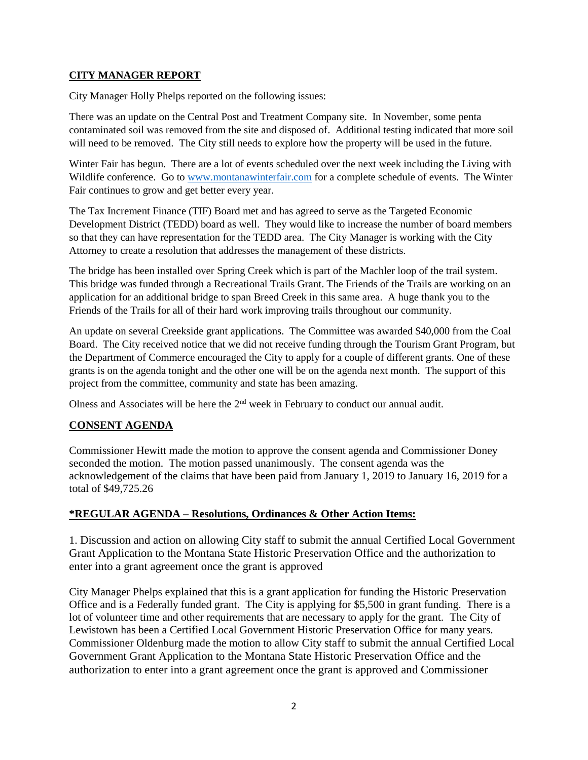#### **CITY MANAGER REPORT**

City Manager Holly Phelps reported on the following issues:

There was an update on the Central Post and Treatment Company site. In November, some penta contaminated soil was removed from the site and disposed of. Additional testing indicated that more soil will need to be removed. The City still needs to explore how the property will be used in the future.

Winter Fair has begun. There are a lot of events scheduled over the next week including the Living with Wildlife conference. Go to [www.montanawinterfair.com](http://www.montanawinterfair.com/) for a complete schedule of events. The Winter Fair continues to grow and get better every year.

The Tax Increment Finance (TIF) Board met and has agreed to serve as the Targeted Economic Development District (TEDD) board as well. They would like to increase the number of board members so that they can have representation for the TEDD area. The City Manager is working with the City Attorney to create a resolution that addresses the management of these districts.

The bridge has been installed over Spring Creek which is part of the Machler loop of the trail system. This bridge was funded through a Recreational Trails Grant. The Friends of the Trails are working on an application for an additional bridge to span Breed Creek in this same area. A huge thank you to the Friends of the Trails for all of their hard work improving trails throughout our community.

An update on several Creekside grant applications. The Committee was awarded \$40,000 from the Coal Board. The City received notice that we did not receive funding through the Tourism Grant Program, but the Department of Commerce encouraged the City to apply for a couple of different grants. One of these grants is on the agenda tonight and the other one will be on the agenda next month. The support of this project from the committee, community and state has been amazing.

Olness and Associates will be here the  $2<sup>nd</sup>$  week in February to conduct our annual audit.

## **CONSENT AGENDA**

Commissioner Hewitt made the motion to approve the consent agenda and Commissioner Doney seconded the motion. The motion passed unanimously. The consent agenda was the acknowledgement of the claims that have been paid from January 1, 2019 to January 16, 2019 for a total of \$49,725.26

## **\*REGULAR AGENDA – Resolutions, Ordinances & Other Action Items:**

1. Discussion and action on allowing City staff to submit the annual Certified Local Government Grant Application to the Montana State Historic Preservation Office and the authorization to enter into a grant agreement once the grant is approved

City Manager Phelps explained that this is a grant application for funding the Historic Preservation Office and is a Federally funded grant. The City is applying for \$5,500 in grant funding. There is a lot of volunteer time and other requirements that are necessary to apply for the grant. The City of Lewistown has been a Certified Local Government Historic Preservation Office for many years. Commissioner Oldenburg made the motion to allow City staff to submit the annual Certified Local Government Grant Application to the Montana State Historic Preservation Office and the authorization to enter into a grant agreement once the grant is approved and Commissioner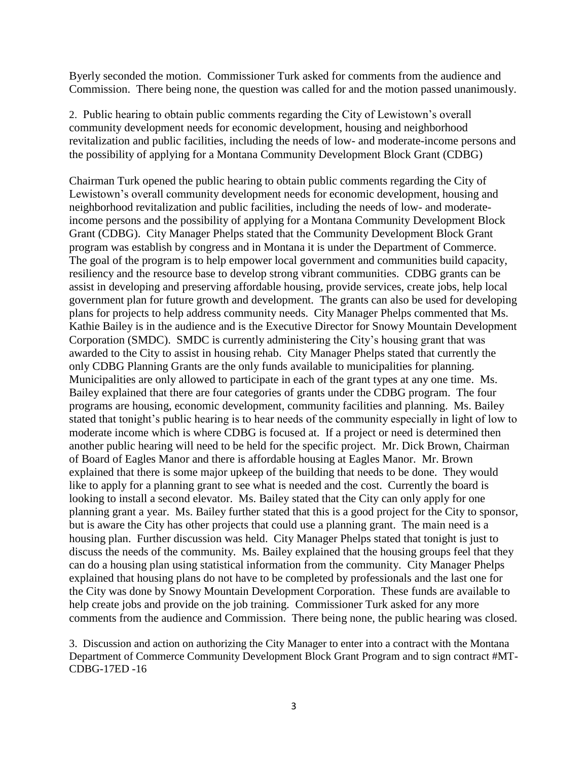Byerly seconded the motion. Commissioner Turk asked for comments from the audience and Commission. There being none, the question was called for and the motion passed unanimously.

2. Public hearing to obtain public comments regarding the City of Lewistown's overall community development needs for economic development, housing and neighborhood revitalization and public facilities, including the needs of low- and moderate-income persons and the possibility of applying for a Montana Community Development Block Grant (CDBG)

Chairman Turk opened the public hearing to obtain public comments regarding the City of Lewistown's overall community development needs for economic development, housing and neighborhood revitalization and public facilities, including the needs of low- and moderateincome persons and the possibility of applying for a Montana Community Development Block Grant (CDBG). City Manager Phelps stated that the Community Development Block Grant program was establish by congress and in Montana it is under the Department of Commerce. The goal of the program is to help empower local government and communities build capacity, resiliency and the resource base to develop strong vibrant communities. CDBG grants can be assist in developing and preserving affordable housing, provide services, create jobs, help local government plan for future growth and development. The grants can also be used for developing plans for projects to help address community needs. City Manager Phelps commented that Ms. Kathie Bailey is in the audience and is the Executive Director for Snowy Mountain Development Corporation (SMDC). SMDC is currently administering the City's housing grant that was awarded to the City to assist in housing rehab. City Manager Phelps stated that currently the only CDBG Planning Grants are the only funds available to municipalities for planning. Municipalities are only allowed to participate in each of the grant types at any one time. Ms. Bailey explained that there are four categories of grants under the CDBG program. The four programs are housing, economic development, community facilities and planning. Ms. Bailey stated that tonight's public hearing is to hear needs of the community especially in light of low to moderate income which is where CDBG is focused at. If a project or need is determined then another public hearing will need to be held for the specific project. Mr. Dick Brown, Chairman of Board of Eagles Manor and there is affordable housing at Eagles Manor. Mr. Brown explained that there is some major upkeep of the building that needs to be done. They would like to apply for a planning grant to see what is needed and the cost. Currently the board is looking to install a second elevator. Ms. Bailey stated that the City can only apply for one planning grant a year. Ms. Bailey further stated that this is a good project for the City to sponsor, but is aware the City has other projects that could use a planning grant. The main need is a housing plan. Further discussion was held. City Manager Phelps stated that tonight is just to discuss the needs of the community. Ms. Bailey explained that the housing groups feel that they can do a housing plan using statistical information from the community. City Manager Phelps explained that housing plans do not have to be completed by professionals and the last one for the City was done by Snowy Mountain Development Corporation. These funds are available to help create jobs and provide on the job training. Commissioner Turk asked for any more comments from the audience and Commission. There being none, the public hearing was closed.

3. Discussion and action on authorizing the City Manager to enter into a contract with the Montana Department of Commerce Community Development Block Grant Program and to sign contract #MT-CDBG-17ED -16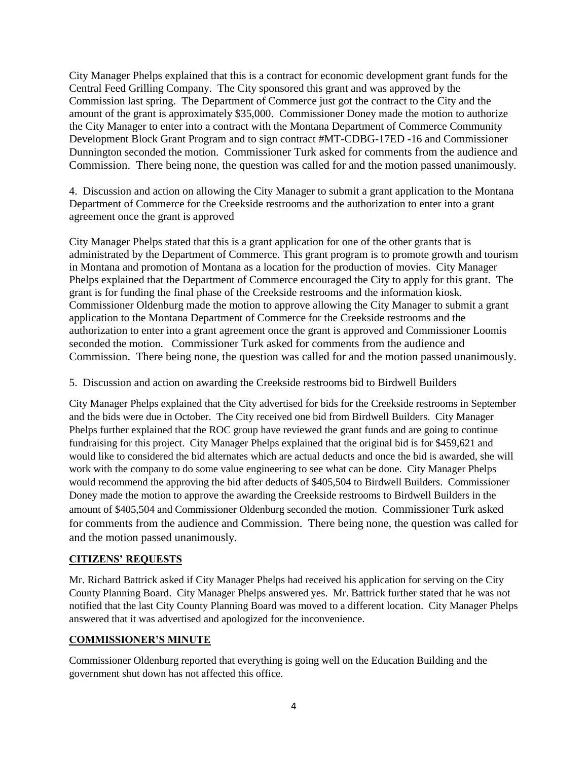City Manager Phelps explained that this is a contract for economic development grant funds for the Central Feed Grilling Company. The City sponsored this grant and was approved by the Commission last spring. The Department of Commerce just got the contract to the City and the amount of the grant is approximately \$35,000. Commissioner Doney made the motion to authorize the City Manager to enter into a contract with the Montana Department of Commerce Community Development Block Grant Program and to sign contract #MT-CDBG-17ED -16 and Commissioner Dunnington seconded the motion. Commissioner Turk asked for comments from the audience and Commission. There being none, the question was called for and the motion passed unanimously.

4. Discussion and action on allowing the City Manager to submit a grant application to the Montana Department of Commerce for the Creekside restrooms and the authorization to enter into a grant agreement once the grant is approved

City Manager Phelps stated that this is a grant application for one of the other grants that is administrated by the Department of Commerce. This grant program is to promote growth and tourism in Montana and promotion of Montana as a location for the production of movies. City Manager Phelps explained that the Department of Commerce encouraged the City to apply for this grant. The grant is for funding the final phase of the Creekside restrooms and the information kiosk. Commissioner Oldenburg made the motion to approve allowing the City Manager to submit a grant application to the Montana Department of Commerce for the Creekside restrooms and the authorization to enter into a grant agreement once the grant is approved and Commissioner Loomis seconded the motion. Commissioner Turk asked for comments from the audience and Commission. There being none, the question was called for and the motion passed unanimously.

5. Discussion and action on awarding the Creekside restrooms bid to Birdwell Builders

City Manager Phelps explained that the City advertised for bids for the Creekside restrooms in September and the bids were due in October. The City received one bid from Birdwell Builders. City Manager Phelps further explained that the ROC group have reviewed the grant funds and are going to continue fundraising for this project. City Manager Phelps explained that the original bid is for \$459,621 and would like to considered the bid alternates which are actual deducts and once the bid is awarded, she will work with the company to do some value engineering to see what can be done. City Manager Phelps would recommend the approving the bid after deducts of \$405,504 to Birdwell Builders. Commissioner Doney made the motion to approve the awarding the Creekside restrooms to Birdwell Builders in the amount of \$405,504 and Commissioner Oldenburg seconded the motion. Commissioner Turk asked for comments from the audience and Commission. There being none, the question was called for and the motion passed unanimously.

# **CITIZENS' REQUESTS**

Mr. Richard Battrick asked if City Manager Phelps had received his application for serving on the City County Planning Board. City Manager Phelps answered yes. Mr. Battrick further stated that he was not notified that the last City County Planning Board was moved to a different location. City Manager Phelps answered that it was advertised and apologized for the inconvenience.

## **COMMISSIONER'S MINUTE**

Commissioner Oldenburg reported that everything is going well on the Education Building and the government shut down has not affected this office.